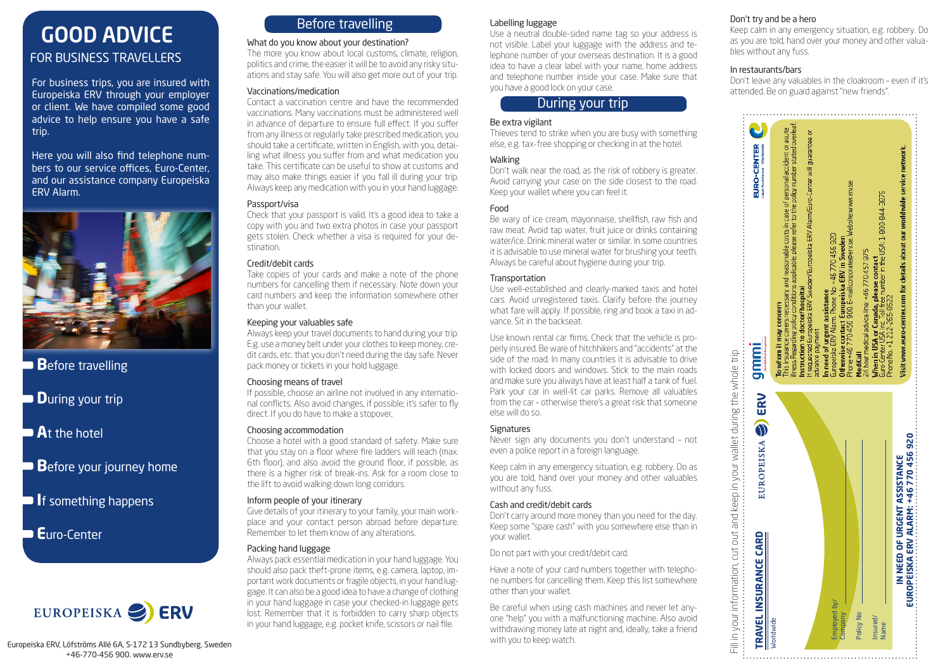# GOOD ADVICE FOR BUSINESS TRAVELLERS

For business trips, you are insured with Europeiska ERV through your employer or client. We have compiled some good advice to help ensure you have a safe trip.

Here you will also find telephone numbers to our service offices, Euro-Center, and our assistance company Europeiska ERV Alarm.



- **B**efore travelling
- **D**uring your trip
- **A**t the hotel
- **B**efore your journey home
- **I**f something happens

**E**uro-Center



# Before travelling

## What do you know about your destination?

The more you know about local customs, climate, religion, politics and crime, the easier it will be to avoid any risky situations and stay safe. You will also get more out of your trip.

## Vaccinations/medication

Contact a vaccination centre and have the recommended vaccinations. Many vaccinations must be administered well in advance of departure to ensure full effect. If you suffer from any illness or regularly take prescribed medication, you should take a certificate, written in English, with you, detailing what illness you suffer from and what medication you take. This certificate can be useful to show at customs and may also make things easier if you fall ill during your trip. Always keep any medication with you in your hand luggage.

## Passport/visa

Check that your passport is valid. It's a good idea to take a copy with you and two extra photos in case your passport gets stolen. Check whether a visa is required for your destination.

## Credit/debit cards

Take copies of your cards and make a note of the phone numbers for cancelling them if necessary. Note down your card numbers and keep the information somewhere other than your wallet.

## Keeping your valuables safe

Always keep your travel documents to hand during your trip. E.g. use a money belt under your clothes to keep money, credit cards, etc. that you don't need during the day safe. Never pack money or tickets in your hold luggage.

## Choosing means of travel

If possible, choose an airline not involved in any international conflicts. Also avoid changes, if possible; it's safer to fly direct. If you do have to make a stopover,

## Choosing accommodation

Choose a hotel with a good standard of safety. Make sure that you stay on a floor where fire ladders will reach (max. 6th floor), and also avoid the ground floor, if possible, as there is a higher risk of break-ins. Ask for a room close to the lift to avoid walking down long corridors.

## Inform people of your itinerary

Give details of your itinerary to your family, your main workplace and your contact person abroad before departure. Remember to let them know of any alterations.

## Packing hand luggage

Always pack essential medication in your hand luggage. You should also pack theft-prone items, e.g. camera, laptop, important work documents or fragile objects, in your hand luggage. It can also be a good idea to have a change of clothing in your hand luggage in case your checked-in luggage gets lost. Remember that it is forbidden to carry sharp objects in your hand luggage, e.g. pocket knife, scissors or nail file.

## Labelling luggage

Use a neutral double-sided name tag so your address is not visible. Label your luggage with the address and telephone number of your overseas destination. It is a good idea to have a clear label with your name, home address and telephone number inside your case. Make sure that you have a good lock on your case.

## During your trip

## Be extra vigilant

Thieves tend to strike when you are busy with something else, e.g. tax-free shopping or checking in at the hotel.

## Walking

Don't walk near the road, as the risk of robbery is greater. Avoid carrying your case on the side closest to the road. Keep your wallet where you can feel it.

## Food

Be wary of ice cream, mayonnaise, shellfish, raw fish and raw meat. Avoid tap water, fruit juice or drinks containing water/ice. Drink mineral water or similar. In some countries it is advisable to use mineral water for brushing your teeth. Always be careful about hygiene during your trip.

## **Transportation**

Use well-established and clearly-marked taxis and hotel cars. Avoid unregistered taxis. Clarify before the journey what fare will apply. If possible, ring and book a taxi in advance. Sit in the backseat.

Use known rental car firms. Check that the vehicle is properly insured. Be ware of hitchhikers and "accidents" at the side of the road. In many countries it is advisable to drive with locked doors and windows. Stick to the main roads and make sure you always have at least half a tank of fuel. Park your car in well-lit car parks. Remove all valuables from the car – otherwise there's a great risk that someone else will do so.

## **Signatures**

Never sign any documents you don't understand – not even a police report in a foreign language.

Keep calm in any emergency situation, e.g. robbery. Do as you are told, hand over your money and other valuables without any fuss.

## Cash and credit/debit cards

Don't carry around more money than you need for the day. Keep some "spare cash" with you somewhere else than in your wallet.

Do not part with your credit/debit card.

Have a note of your card numbers together with telephone numbers for cancelling them. Keep this list somewhere other than your wallet.

Be careful when using cash machines and never let anyone "help" you with a malfunctioning machine. Also avoid withdrawing money late at night and, ideally, take a friend with you to keep watch.

## Don't try and be a hero

Keep calm in any emergency situation, e.g. robbery. Do as you are told, hand over your money and other valuables without any fuss.

## In restaurants/bars

Don't leave any valuables in the cloakroom – even if it's attended. Be on guard against "new friends".

| IN NEED OF URGENT ASSISTANCE<br><b>TRAVEL INSURANCE CARD</b> |
|--------------------------------------------------------------|
|--------------------------------------------------------------|